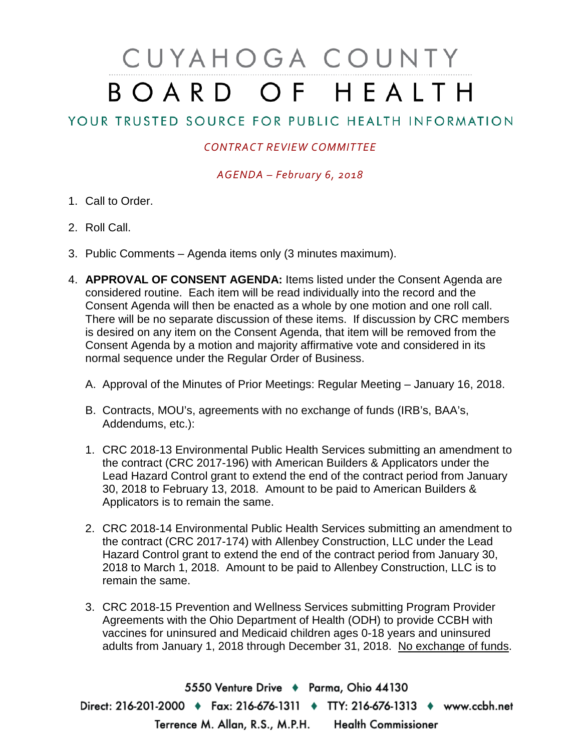## CUYAHOGA COUNTY BOARD OF HEALTH

## YOUR TRUSTED SOURCE FOR PUBLIC HEALTH INFORMATION

## *CONTRACT REVIEW COMMITTEE*

*AGENDA – February 6, 2018*

- 1. Call to Order.
- 2. Roll Call.
- 3. Public Comments Agenda items only (3 minutes maximum).
- 4. **APPROVAL OF CONSENT AGENDA:** Items listed under the Consent Agenda are considered routine. Each item will be read individually into the record and the Consent Agenda will then be enacted as a whole by one motion and one roll call. There will be no separate discussion of these items. If discussion by CRC members is desired on any item on the Consent Agenda, that item will be removed from the Consent Agenda by a motion and majority affirmative vote and considered in its normal sequence under the Regular Order of Business.
	- A. Approval of the Minutes of Prior Meetings: Regular Meeting January 16, 2018.
	- B. Contracts, MOU's, agreements with no exchange of funds (IRB's, BAA's, Addendums, etc.):
	- 1. CRC 2018-13 Environmental Public Health Services submitting an amendment to the contract (CRC 2017-196) with American Builders & Applicators under the Lead Hazard Control grant to extend the end of the contract period from January 30, 2018 to February 13, 2018. Amount to be paid to American Builders & Applicators is to remain the same.
	- 2. CRC 2018-14 Environmental Public Health Services submitting an amendment to the contract (CRC 2017-174) with Allenbey Construction, LLC under the Lead Hazard Control grant to extend the end of the contract period from January 30, 2018 to March 1, 2018. Amount to be paid to Allenbey Construction, LLC is to remain the same.
	- 3. CRC 2018-15 Prevention and Wellness Services submitting Program Provider Agreements with the Ohio Department of Health (ODH) to provide CCBH with vaccines for uninsured and Medicaid children ages 0-18 years and uninsured adults from January 1, 2018 through December 31, 2018. No exchange of funds.

5550 Venture Drive + Parma, Ohio 44130 Direct: 216-201-2000 • Fax: 216-676-1311 • TTY: 216-676-1313 • www.ccbh.net Terrence M. Allan, R.S., M.P.H. Health Commissioner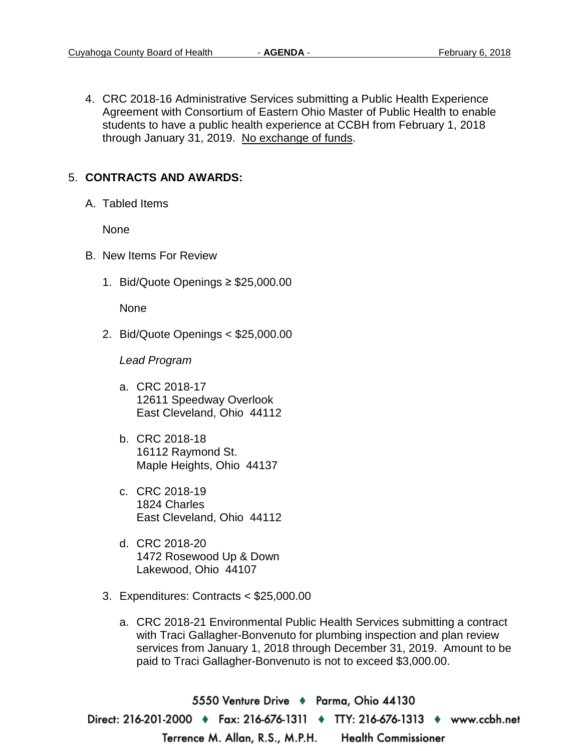4. CRC 2018-16 Administrative Services submitting a Public Health Experience Agreement with Consortium of Eastern Ohio Master of Public Health to enable students to have a public health experience at CCBH from February 1, 2018 through January 31, 2019. No exchange of funds.

## 5. **CONTRACTS AND AWARDS:**

A. Tabled Items

None

- B. New Items For Review
	- 1. Bid/Quote Openings ≥ \$25,000.00

None

2. Bid/Quote Openings < \$25,000.00

*Lead Program* 

- a. CRC 2018-17 12611 Speedway Overlook East Cleveland, Ohio 44112
- b. CRC 2018-18 16112 Raymond St. Maple Heights, Ohio 44137
- c. CRC 2018-19 1824 Charles East Cleveland, Ohio 44112
- d. CRC 2018-20 1472 Rosewood Up & Down Lakewood, Ohio 44107
- 3. Expenditures: Contracts < \$25,000.00
	- a. CRC 2018-21 Environmental Public Health Services submitting a contract with Traci Gallagher-Bonvenuto for plumbing inspection and plan review services from January 1, 2018 through December 31, 2019. Amount to be paid to Traci Gallagher-Bonvenuto is not to exceed \$3,000.00.

5550 Venture Drive ♦ Parma, Ohio 44130 Direct: 216-201-2000 ♦ Fax: 216-676-1311 ♦ TTY: 216-676-1313 ♦ www.ccbh.net Terrence M. Allan, R.S., M.P.H. **Health Commissioner**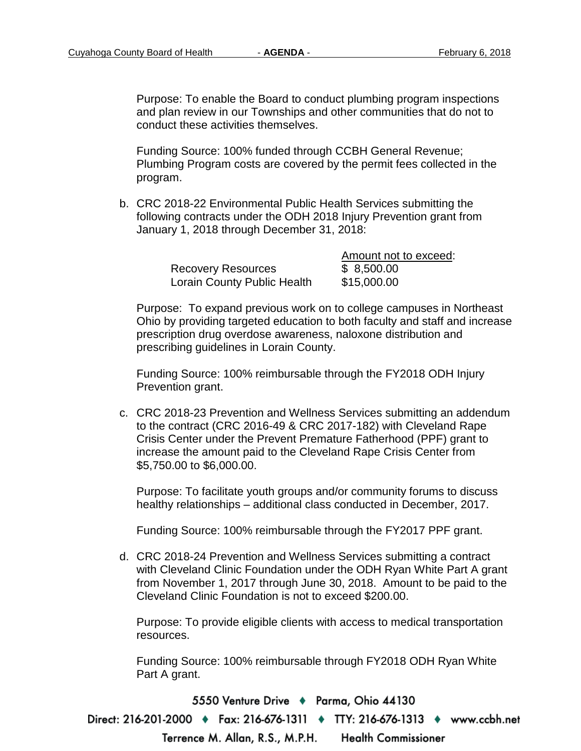Purpose: To enable the Board to conduct plumbing program inspections and plan review in our Townships and other communities that do not to conduct these activities themselves.

Funding Source: 100% funded through CCBH General Revenue; Plumbing Program costs are covered by the permit fees collected in the program.

b. CRC 2018-22 Environmental Public Health Services submitting the following contracts under the ODH 2018 Injury Prevention grant from January 1, 2018 through December 31, 2018:

|                             | Amount not to exceed: |
|-----------------------------|-----------------------|
| <b>Recovery Resources</b>   | \$8,500.00            |
| Lorain County Public Health | \$15,000.00           |

Purpose: To expand previous work on to college campuses in Northeast Ohio by providing targeted education to both faculty and staff and increase prescription drug overdose awareness, naloxone distribution and prescribing guidelines in Lorain County.

Funding Source: 100% reimbursable through the FY2018 ODH Injury Prevention grant.

c. CRC 2018-23 Prevention and Wellness Services submitting an addendum to the contract (CRC 2016-49 & CRC 2017-182) with Cleveland Rape Crisis Center under the Prevent Premature Fatherhood (PPF) grant to increase the amount paid to the Cleveland Rape Crisis Center from \$5,750.00 to \$6,000.00.

Purpose: To facilitate youth groups and/or community forums to discuss healthy relationships – additional class conducted in December, 2017.

Funding Source: 100% reimbursable through the FY2017 PPF grant.

d. CRC 2018-24 Prevention and Wellness Services submitting a contract with Cleveland Clinic Foundation under the ODH Ryan White Part A grant from November 1, 2017 through June 30, 2018. Amount to be paid to the Cleveland Clinic Foundation is not to exceed \$200.00.

Purpose: To provide eligible clients with access to medical transportation resources.

Funding Source: 100% reimbursable through FY2018 ODH Ryan White Part A grant.

5550 Venture Drive + Parma, Ohio 44130 Direct: 216-201-2000 ♦ Fax: 216-676-1311 ♦ TTY: 216-676-1313 ♦ www.ccbh.net Terrence M. Allan, R.S., M.P.H. **Health Commissioner**